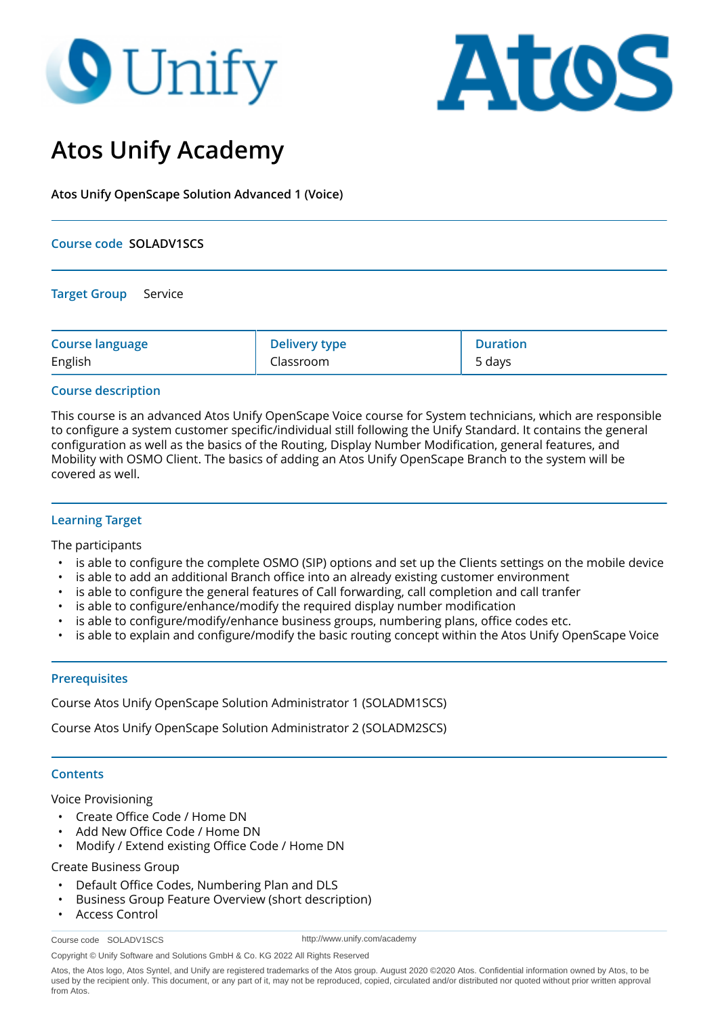# **O** Unify



# **Atos Unify Academy**

**Atos Unify OpenScape Solution Advanced 1 (Voice)**

### **Course code SOLADV1SCS**

**Target Group** Service

| <b>Course language</b> | <b>Delivery type</b> | <b>Duration</b> |
|------------------------|----------------------|-----------------|
| English                | Classroom            | 5 days          |

# **Course description**

This course is an advanced Atos Unify OpenScape Voice course for System technicians, which are responsible to configure a system customer specific/individual still following the Unify Standard. It contains the general configuration as well as the basics of the Routing, Display Number Modification, general features, and Mobility with OSMO Client. The basics of adding an Atos Unify OpenScape Branch to the system will be covered as well.

# **Learning Target**

The participants

- is able to configure the complete OSMO (SIP) options and set up the Clients settings on the mobile device
- is able to add an additional Branch office into an already existing customer environment
- is able to configure the general features of Call forwarding, call completion and call tranfer
- is able to configure/enhance/modify the required display number modification
- is able to configure/modify/enhance business groups, numbering plans, office codes etc.
- is able to explain and configure/modify the basic routing concept within the Atos Unify OpenScape Voice

#### **Prerequisites**

Course Atos Unify OpenScape Solution Administrator 1 (SOLADM1SCS)

Course Atos Unify OpenScape Solution Administrator 2 (SOLADM2SCS)

# **Contents**

Voice Provisioning

- Create Office Code / Home DN
- Add New Office Code / Home DN
- Modify / Extend existing Office Code / Home DN

Create Business Group

- Default Office Codes, Numbering Plan and DLS
- Business Group Feature Overview (short description)
- Access Control

Course code SOLADV1SCS

http://www.unify.com/academy

Copyright © Unify Software and Solutions GmbH & Co. KG 2022 All Rights Reserved

Atos, the Atos logo, Atos Syntel, and Unify are registered trademarks of the Atos group. August 2020 ©2020 Atos. Confidential information owned by Atos, to be used by the recipient only. This document, or any part of it, may not be reproduced, copied, circulated and/or distributed nor quoted without prior written approval from Atos.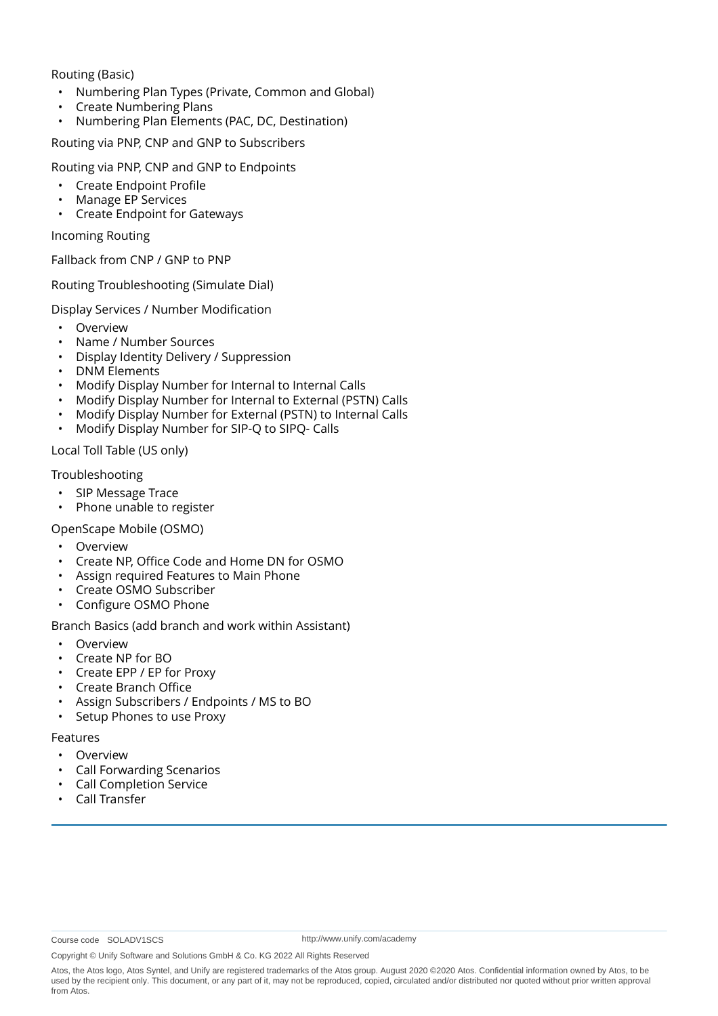Routing (Basic)

- Numbering Plan Types (Private, Common and Global)
- Create Numbering Plans
- Numbering Plan Elements (PAC, DC, Destination)

Routing via PNP, CNP and GNP to Subscribers

Routing via PNP, CNP and GNP to Endpoints

- Create Endpoint Profile
- Manage EP Services
- Create Endpoint for Gateways

Incoming Routing

Fallback from CNP / GNP to PNP

Routing Troubleshooting (Simulate Dial)

Display Services / Number Modification

- Overview
- Name / Number Sources
- Display Identity Delivery / Suppression
- DNM Elements
- Modify Display Number for Internal to Internal Calls
- Modify Display Number for Internal to External (PSTN) Calls
- Modify Display Number for External (PSTN) to Internal Calls
- Modify Display Number for SIP-Q to SIPQ- Calls

Local Toll Table (US only)

Troubleshooting

- SIP Message Trace
- Phone unable to register

OpenScape Mobile (OSMO)

- **Overview**
- Create NP, Office Code and Home DN for OSMO
- Assign required Features to Main Phone
- Create OSMO Subscriber
- Configure OSMO Phone

Branch Basics (add branch and work within Assistant)

- Overview
- Create NP for BO
- Create EPP / EP for Proxy
- Create Branch Office
- Assign Subscribers / Endpoints / MS to BO
- Setup Phones to use Proxy

Features

- **Overview**
- Call Forwarding Scenarios
- Call Completion Service
- Call Transfer

http://www.unify.com/academy

Copyright © Unify Software and Solutions GmbH & Co. KG 2022 All Rights Reserved

Atos, the Atos logo, Atos Syntel, and Unify are registered trademarks of the Atos group. August 2020 ©2020 Atos. Confidential information owned by Atos, to be used by the recipient only. This document, or any part of it, may not be reproduced, copied, circulated and/or distributed nor quoted without prior written approval from Atos.